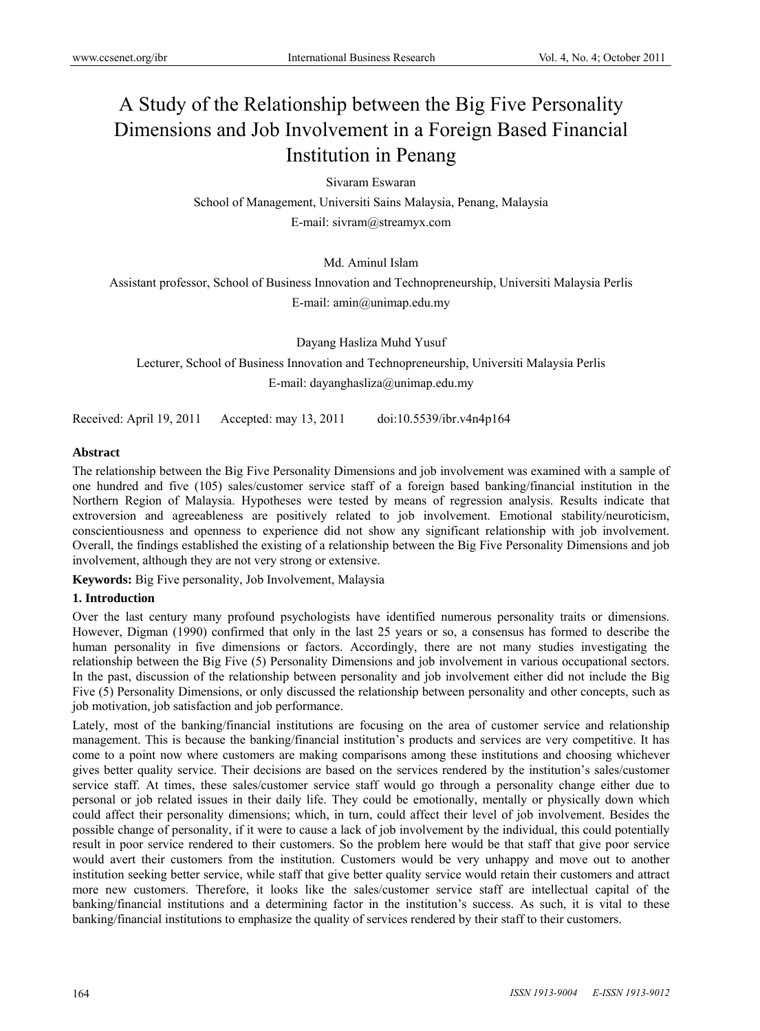# A Study of the Relationship between the Big Five Personality Dimensions and Job Involvement in a Foreign Based Financial Institution in Penang

Sivaram Eswaran

School of Management, Universiti Sains Malaysia, Penang, Malaysia E-mail: sivram@streamyx.com

Md. Aminul Islam

Assistant professor, School of Business Innovation and Technopreneurship, Universiti Malaysia Perlis E-mail: amin@unimap.edu.my

Dayang Hasliza Muhd Yusuf Lecturer, School of Business Innovation and Technopreneurship, Universiti Malaysia Perlis E-mail: dayanghasliza@unimap.edu.my

Received: April 19, 2011 Accepted: may 13, 2011 doi:10.5539/ibr.v4n4p164

#### **Abstract**

The relationship between the Big Five Personality Dimensions and job involvement was examined with a sample of one hundred and five (105) sales/customer service staff of a foreign based banking/financial institution in the Northern Region of Malaysia. Hypotheses were tested by means of regression analysis. Results indicate that extroversion and agreeableness are positively related to job involvement. Emotional stability/neuroticism, conscientiousness and openness to experience did not show any significant relationship with job involvement. Overall, the findings established the existing of a relationship between the Big Five Personality Dimensions and job involvement, although they are not very strong or extensive.

**Keywords:** Big Five personality, Job Involvement, Malaysia

#### **1. Introduction**

Over the last century many profound psychologists have identified numerous personality traits or dimensions. However, Digman (1990) confirmed that only in the last 25 years or so, a consensus has formed to describe the human personality in five dimensions or factors. Accordingly, there are not many studies investigating the relationship between the Big Five (5) Personality Dimensions and job involvement in various occupational sectors. In the past, discussion of the relationship between personality and job involvement either did not include the Big Five (5) Personality Dimensions, or only discussed the relationship between personality and other concepts, such as job motivation, job satisfaction and job performance.

Lately, most of the banking/financial institutions are focusing on the area of customer service and relationship management. This is because the banking/financial institution's products and services are very competitive. It has come to a point now where customers are making comparisons among these institutions and choosing whichever gives better quality service. Their decisions are based on the services rendered by the institution's sales/customer service staff. At times, these sales/customer service staff would go through a personality change either due to personal or job related issues in their daily life. They could be emotionally, mentally or physically down which could affect their personality dimensions; which, in turn, could affect their level of job involvement. Besides the possible change of personality, if it were to cause a lack of job involvement by the individual, this could potentially result in poor service rendered to their customers. So the problem here would be that staff that give poor service would avert their customers from the institution. Customers would be very unhappy and move out to another institution seeking better service, while staff that give better quality service would retain their customers and attract more new customers. Therefore, it looks like the sales/customer service staff are intellectual capital of the banking/financial institutions and a determining factor in the institution's success. As such, it is vital to these banking/financial institutions to emphasize the quality of services rendered by their staff to their customers.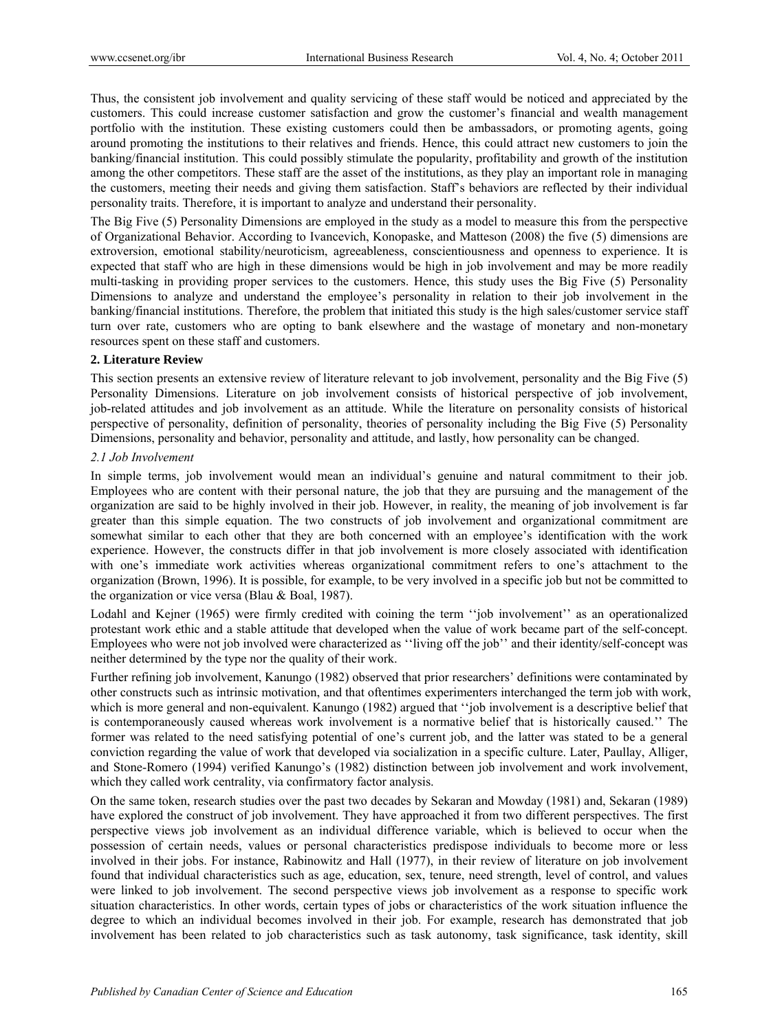Thus, the consistent job involvement and quality servicing of these staff would be noticed and appreciated by the customers. This could increase customer satisfaction and grow the customer's financial and wealth management portfolio with the institution. These existing customers could then be ambassadors, or promoting agents, going around promoting the institutions to their relatives and friends. Hence, this could attract new customers to join the banking/financial institution. This could possibly stimulate the popularity, profitability and growth of the institution among the other competitors. These staff are the asset of the institutions, as they play an important role in managing the customers, meeting their needs and giving them satisfaction. Staff's behaviors are reflected by their individual personality traits. Therefore, it is important to analyze and understand their personality.

The Big Five (5) Personality Dimensions are employed in the study as a model to measure this from the perspective of Organizational Behavior. According to Ivancevich, Konopaske, and Matteson (2008) the five (5) dimensions are extroversion, emotional stability/neuroticism, agreeableness, conscientiousness and openness to experience. It is expected that staff who are high in these dimensions would be high in job involvement and may be more readily multi-tasking in providing proper services to the customers. Hence, this study uses the Big Five (5) Personality Dimensions to analyze and understand the employee's personality in relation to their job involvement in the banking/financial institutions. Therefore, the problem that initiated this study is the high sales/customer service staff turn over rate, customers who are opting to bank elsewhere and the wastage of monetary and non-monetary resources spent on these staff and customers.

#### **2. Literature Review**

This section presents an extensive review of literature relevant to job involvement, personality and the Big Five (5) Personality Dimensions. Literature on job involvement consists of historical perspective of job involvement, job-related attitudes and job involvement as an attitude. While the literature on personality consists of historical perspective of personality, definition of personality, theories of personality including the Big Five (5) Personality Dimensions, personality and behavior, personality and attitude, and lastly, how personality can be changed.

#### *2.1 Job Involvement*

In simple terms, job involvement would mean an individual's genuine and natural commitment to their job. Employees who are content with their personal nature, the job that they are pursuing and the management of the organization are said to be highly involved in their job. However, in reality, the meaning of job involvement is far greater than this simple equation. The two constructs of job involvement and organizational commitment are somewhat similar to each other that they are both concerned with an employee's identification with the work experience. However, the constructs differ in that job involvement is more closely associated with identification with one's immediate work activities whereas organizational commitment refers to one's attachment to the organization (Brown, 1996). It is possible, for example, to be very involved in a specific job but not be committed to the organization or vice versa (Blau & Boal, 1987).

Lodahl and Kejner (1965) were firmly credited with coining the term ''job involvement'' as an operationalized protestant work ethic and a stable attitude that developed when the value of work became part of the self-concept. Employees who were not job involved were characterized as ''living off the job'' and their identity/self-concept was neither determined by the type nor the quality of their work.

Further refining job involvement, Kanungo (1982) observed that prior researchers' definitions were contaminated by other constructs such as intrinsic motivation, and that oftentimes experimenters interchanged the term job with work, which is more general and non-equivalent. Kanungo (1982) argued that "job involvement is a descriptive belief that is contemporaneously caused whereas work involvement is a normative belief that is historically caused.'' The former was related to the need satisfying potential of one's current job, and the latter was stated to be a general conviction regarding the value of work that developed via socialization in a specific culture. Later, Paullay, Alliger, and Stone-Romero (1994) verified Kanungo's (1982) distinction between job involvement and work involvement, which they called work centrality, via confirmatory factor analysis.

On the same token, research studies over the past two decades by Sekaran and Mowday (1981) and, Sekaran (1989) have explored the construct of job involvement. They have approached it from two different perspectives. The first perspective views job involvement as an individual difference variable, which is believed to occur when the possession of certain needs, values or personal characteristics predispose individuals to become more or less involved in their jobs. For instance, Rabinowitz and Hall (1977), in their review of literature on job involvement found that individual characteristics such as age, education, sex, tenure, need strength, level of control, and values were linked to job involvement. The second perspective views job involvement as a response to specific work situation characteristics. In other words, certain types of jobs or characteristics of the work situation influence the degree to which an individual becomes involved in their job. For example, research has demonstrated that job involvement has been related to job characteristics such as task autonomy, task significance, task identity, skill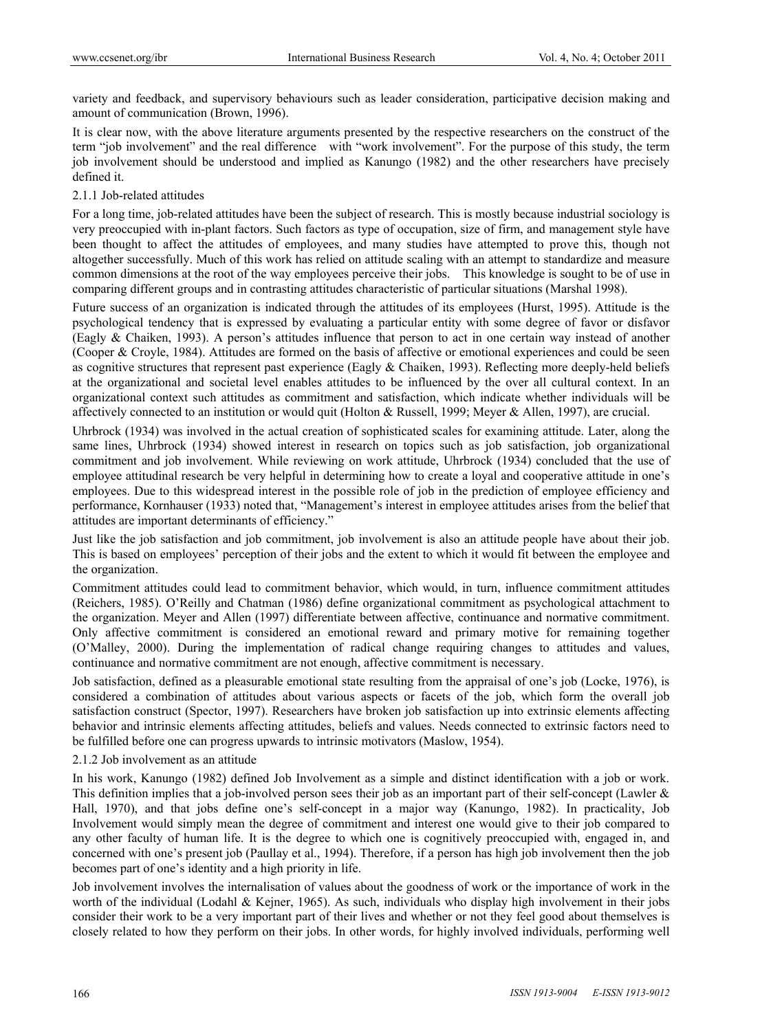variety and feedback, and supervisory behaviours such as leader consideration, participative decision making and amount of communication (Brown, 1996).

It is clear now, with the above literature arguments presented by the respective researchers on the construct of the term "job involvement" and the real difference with "work involvement". For the purpose of this study, the term job involvement should be understood and implied as Kanungo (1982) and the other researchers have precisely defined it.

#### 2.1.1 Job-related attitudes

For a long time, job-related attitudes have been the subject of research. This is mostly because industrial sociology is very preoccupied with in-plant factors. Such factors as type of occupation, size of firm, and management style have been thought to affect the attitudes of employees, and many studies have attempted to prove this, though not altogether successfully. Much of this work has relied on attitude scaling with an attempt to standardize and measure common dimensions at the root of the way employees perceive their jobs. This knowledge is sought to be of use in comparing different groups and in contrasting attitudes characteristic of particular situations (Marshal 1998).

Future success of an organization is indicated through the attitudes of its employees (Hurst, 1995). Attitude is the psychological tendency that is expressed by evaluating a particular entity with some degree of favor or disfavor (Eagly & Chaiken, 1993). A person's attitudes influence that person to act in one certain way instead of another (Cooper & Croyle, 1984). Attitudes are formed on the basis of affective or emotional experiences and could be seen as cognitive structures that represent past experience (Eagly & Chaiken, 1993). Reflecting more deeply-held beliefs at the organizational and societal level enables attitudes to be influenced by the over all cultural context. In an organizational context such attitudes as commitment and satisfaction, which indicate whether individuals will be affectively connected to an institution or would quit (Holton & Russell, 1999; Meyer & Allen, 1997), are crucial.

Uhrbrock (1934) was involved in the actual creation of sophisticated scales for examining attitude. Later, along the same lines, Uhrbrock (1934) showed interest in research on topics such as job satisfaction, job organizational commitment and job involvement. While reviewing on work attitude, Uhrbrock (1934) concluded that the use of employee attitudinal research be very helpful in determining how to create a loyal and cooperative attitude in one's employees. Due to this widespread interest in the possible role of job in the prediction of employee efficiency and performance, Kornhauser (1933) noted that, "Management's interest in employee attitudes arises from the belief that attitudes are important determinants of efficiency."

Just like the job satisfaction and job commitment, job involvement is also an attitude people have about their job. This is based on employees' perception of their jobs and the extent to which it would fit between the employee and the organization.

Commitment attitudes could lead to commitment behavior, which would, in turn, influence commitment attitudes (Reichers, 1985). O'Reilly and Chatman (1986) define organizational commitment as psychological attachment to the organization. Meyer and Allen (1997) differentiate between affective, continuance and normative commitment. Only affective commitment is considered an emotional reward and primary motive for remaining together (O'Malley, 2000). During the implementation of radical change requiring changes to attitudes and values, continuance and normative commitment are not enough, affective commitment is necessary.

Job satisfaction, defined as a pleasurable emotional state resulting from the appraisal of one's job (Locke, 1976), is considered a combination of attitudes about various aspects or facets of the job, which form the overall job satisfaction construct (Spector, 1997). Researchers have broken job satisfaction up into extrinsic elements affecting behavior and intrinsic elements affecting attitudes, beliefs and values. Needs connected to extrinsic factors need to be fulfilled before one can progress upwards to intrinsic motivators (Maslow, 1954).

#### 2.1.2 Job involvement as an attitude

In his work, Kanungo (1982) defined Job Involvement as a simple and distinct identification with a job or work. This definition implies that a job-involved person sees their job as an important part of their self-concept (Lawler & Hall, 1970), and that jobs define one's self-concept in a major way (Kanungo, 1982). In practicality, Job Involvement would simply mean the degree of commitment and interest one would give to their job compared to any other faculty of human life. It is the degree to which one is cognitively preoccupied with, engaged in, and concerned with one's present job (Paullay et al., 1994). Therefore, if a person has high job involvement then the job becomes part of one's identity and a high priority in life.

Job involvement involves the internalisation of values about the goodness of work or the importance of work in the worth of the individual (Lodahl & Kejner, 1965). As such, individuals who display high involvement in their jobs consider their work to be a very important part of their lives and whether or not they feel good about themselves is closely related to how they perform on their jobs. In other words, for highly involved individuals, performing well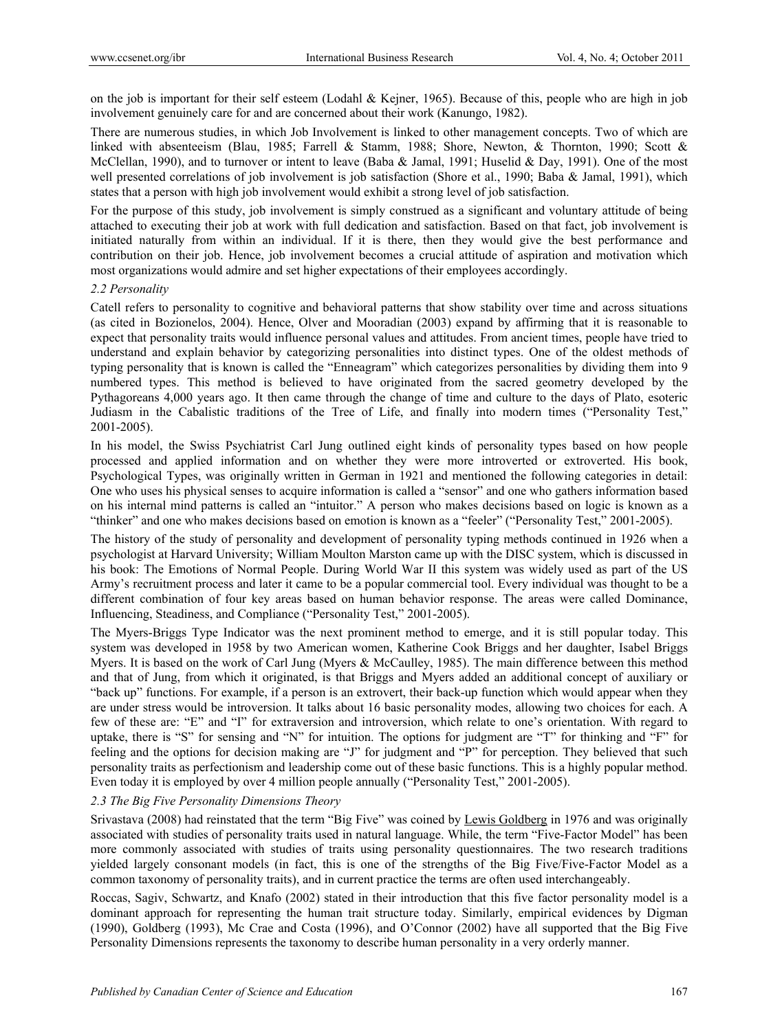on the job is important for their self esteem (Lodahl & Kejner, 1965). Because of this, people who are high in job involvement genuinely care for and are concerned about their work (Kanungo, 1982).

There are numerous studies, in which Job Involvement is linked to other management concepts. Two of which are linked with absenteeism (Blau, 1985; Farrell & Stamm, 1988; Shore, Newton, & Thornton, 1990; Scott & McClellan, 1990), and to turnover or intent to leave (Baba & Jamal, 1991; Huselid & Day, 1991). One of the most well presented correlations of job involvement is job satisfaction (Shore et al., 1990; Baba & Jamal, 1991), which states that a person with high job involvement would exhibit a strong level of job satisfaction.

For the purpose of this study, job involvement is simply construed as a significant and voluntary attitude of being attached to executing their job at work with full dedication and satisfaction. Based on that fact, job involvement is initiated naturally from within an individual. If it is there, then they would give the best performance and contribution on their job. Hence, job involvement becomes a crucial attitude of aspiration and motivation which most organizations would admire and set higher expectations of their employees accordingly.

#### *2.2 Personality*

Catell refers to personality to cognitive and behavioral patterns that show stability over time and across situations (as cited in Bozionelos, 2004). Hence, Olver and Mooradian (2003) expand by affirming that it is reasonable to expect that personality traits would influence personal values and attitudes. From ancient times, people have tried to understand and explain behavior by categorizing personalities into distinct types. One of the oldest methods of typing personality that is known is called the "Enneagram" which categorizes personalities by dividing them into 9 numbered types. This method is believed to have originated from the sacred geometry developed by the Pythagoreans 4,000 years ago. It then came through the change of time and culture to the days of Plato, esoteric Judiasm in the Cabalistic traditions of the Tree of Life, and finally into modern times ("Personality Test," 2001-2005).

In his model, the Swiss Psychiatrist Carl Jung outlined eight kinds of personality types based on how people processed and applied information and on whether they were more introverted or extroverted. His book, Psychological Types, was originally written in German in 1921 and mentioned the following categories in detail: One who uses his physical senses to acquire information is called a "sensor" and one who gathers information based on his internal mind patterns is called an "intuitor." A person who makes decisions based on logic is known as a "thinker" and one who makes decisions based on emotion is known as a "feeler" ("Personality Test," 2001-2005).

The history of the study of personality and development of personality typing methods continued in 1926 when a psychologist at Harvard University; William Moulton Marston came up with the DISC system, which is discussed in his book: The Emotions of Normal People. During World War II this system was widely used as part of the US Army's recruitment process and later it came to be a popular commercial tool. Every individual was thought to be a different combination of four key areas based on human behavior response. The areas were called Dominance, Influencing, Steadiness, and Compliance ("Personality Test," 2001-2005).

The Myers-Briggs Type Indicator was the next prominent method to emerge, and it is still popular today. This system was developed in 1958 by two American women, Katherine Cook Briggs and her daughter, Isabel Briggs Myers. It is based on the work of Carl Jung (Myers & McCaulley, 1985). The main difference between this method and that of Jung, from which it originated, is that Briggs and Myers added an additional concept of auxiliary or "back up" functions. For example, if a person is an extrovert, their back-up function which would appear when they are under stress would be introversion. It talks about 16 basic personality modes, allowing two choices for each. A few of these are: "E" and "I" for extraversion and introversion, which relate to one's orientation. With regard to uptake, there is "S" for sensing and "N" for intuition. The options for judgment are "T" for thinking and "F" for feeling and the options for decision making are "J" for judgment and "P" for perception. They believed that such personality traits as perfectionism and leadership come out of these basic functions. This is a highly popular method. Even today it is employed by over 4 million people annually ("Personality Test," 2001-2005).

## *2.3 The Big Five Personality Dimensions Theory*

Srivastava (2008) had reinstated that the term "Big Five" was coined by Lewis Goldberg in 1976 and was originally associated with studies of personality traits used in natural language. While, the term "Five-Factor Model" has been more commonly associated with studies of traits using personality questionnaires. The two research traditions yielded largely consonant models (in fact, this is one of the strengths of the Big Five/Five-Factor Model as a common taxonomy of personality traits), and in current practice the terms are often used interchangeably.

Roccas, Sagiv, Schwartz, and Knafo (2002) stated in their introduction that this five factor personality model is a dominant approach for representing the human trait structure today. Similarly, empirical evidences by Digman (1990), Goldberg (1993), Mc Crae and Costa (1996), and O'Connor (2002) have all supported that the Big Five Personality Dimensions represents the taxonomy to describe human personality in a very orderly manner.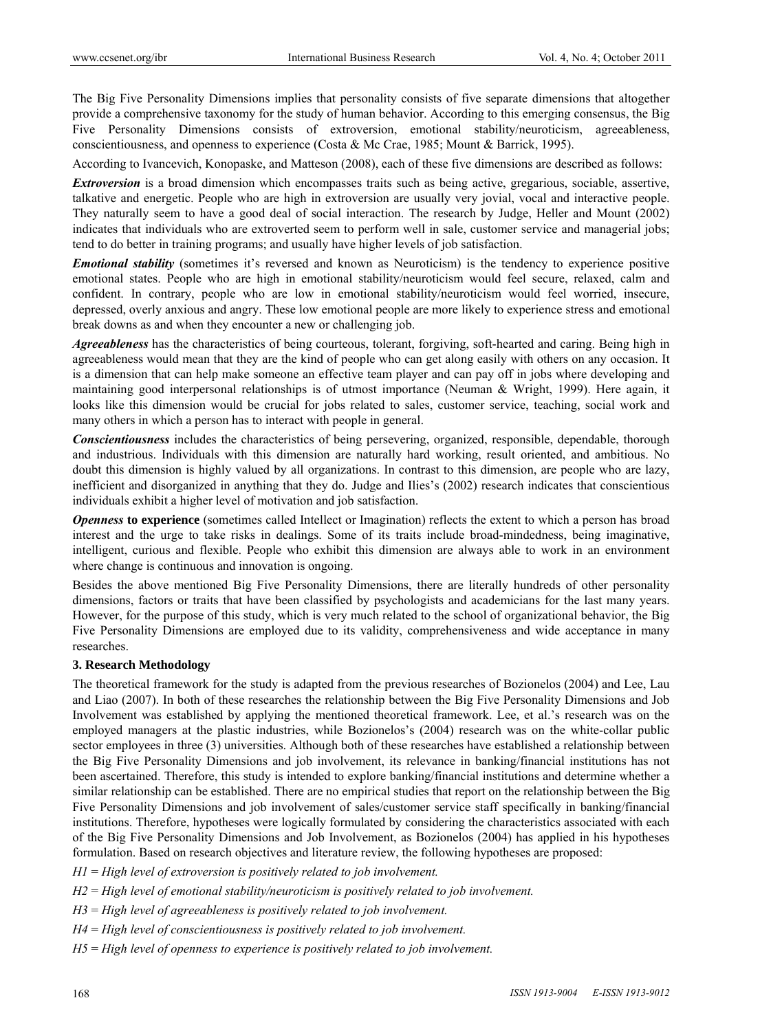The Big Five Personality Dimensions implies that personality consists of five separate dimensions that altogether provide a comprehensive taxonomy for the study of human behavior. According to this emerging consensus, the Big Five Personality Dimensions consists of extroversion, emotional stability/neuroticism, agreeableness, conscientiousness, and openness to experience (Costa & Mc Crae, 1985; Mount & Barrick, 1995).

According to Ivancevich, Konopaske, and Matteson (2008), each of these five dimensions are described as follows:

*Extroversion* is a broad dimension which encompasses traits such as being active, gregarious, sociable, assertive, talkative and energetic. People who are high in extroversion are usually very jovial, vocal and interactive people. They naturally seem to have a good deal of social interaction. The research by Judge, Heller and Mount (2002) indicates that individuals who are extroverted seem to perform well in sale, customer service and managerial jobs; tend to do better in training programs; and usually have higher levels of job satisfaction.

*Emotional stability* (sometimes it's reversed and known as Neuroticism) is the tendency to experience positive emotional states. People who are high in emotional stability/neuroticism would feel secure, relaxed, calm and confident. In contrary, people who are low in emotional stability/neuroticism would feel worried, insecure, depressed, overly anxious and angry. These low emotional people are more likely to experience stress and emotional break downs as and when they encounter a new or challenging job.

*Agreeableness* has the characteristics of being courteous, tolerant, forgiving, soft-hearted and caring. Being high in agreeableness would mean that they are the kind of people who can get along easily with others on any occasion. It is a dimension that can help make someone an effective team player and can pay off in jobs where developing and maintaining good interpersonal relationships is of utmost importance (Neuman & Wright, 1999). Here again, it looks like this dimension would be crucial for jobs related to sales, customer service, teaching, social work and many others in which a person has to interact with people in general.

*Conscientiousness* includes the characteristics of being persevering, organized, responsible, dependable, thorough and industrious. Individuals with this dimension are naturally hard working, result oriented, and ambitious. No doubt this dimension is highly valued by all organizations. In contrast to this dimension, are people who are lazy, inefficient and disorganized in anything that they do. Judge and Ilies's (2002) research indicates that conscientious individuals exhibit a higher level of motivation and job satisfaction.

*Openness* **to experience** (sometimes called Intellect or Imagination) reflects the extent to which a person has broad interest and the urge to take risks in dealings. Some of its traits include broad-mindedness, being imaginative, intelligent, curious and flexible. People who exhibit this dimension are always able to work in an environment where change is continuous and innovation is ongoing.

Besides the above mentioned Big Five Personality Dimensions, there are literally hundreds of other personality dimensions, factors or traits that have been classified by psychologists and academicians for the last many years. However, for the purpose of this study, which is very much related to the school of organizational behavior, the Big Five Personality Dimensions are employed due to its validity, comprehensiveness and wide acceptance in many researches.

#### **3. Research Methodology**

The theoretical framework for the study is adapted from the previous researches of Bozionelos (2004) and Lee, Lau and Liao (2007). In both of these researches the relationship between the Big Five Personality Dimensions and Job Involvement was established by applying the mentioned theoretical framework. Lee, et al.'s research was on the employed managers at the plastic industries, while Bozionelos's (2004) research was on the white-collar public sector employees in three (3) universities. Although both of these researches have established a relationship between the Big Five Personality Dimensions and job involvement, its relevance in banking/financial institutions has not been ascertained. Therefore, this study is intended to explore banking/financial institutions and determine whether a similar relationship can be established. There are no empirical studies that report on the relationship between the Big Five Personality Dimensions and job involvement of sales/customer service staff specifically in banking/financial institutions. Therefore, hypotheses were logically formulated by considering the characteristics associated with each of the Big Five Personality Dimensions and Job Involvement, as Bozionelos (2004) has applied in his hypotheses formulation. Based on research objectives and literature review, the following hypotheses are proposed:

*H1* = *High level of extroversion is positively related to job involvement.*

*H2* = *High level of emotional stability/neuroticism is positively related to job involvement.* 

*H3* = *High level of agreeableness is positively related to job involvement.*

*H4* = *High level of conscientiousness is positively related to job involvement.*

*H5* = *High level of openness to experience is positively related to job involvement.*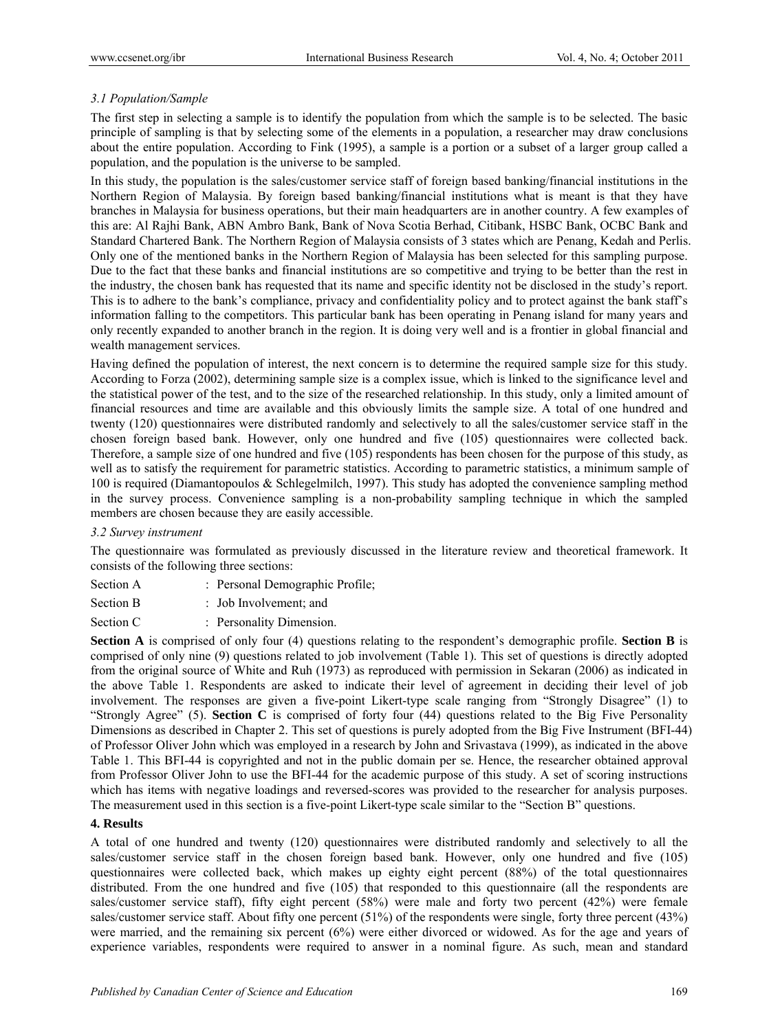# *3.1 Population/Sample*

The first step in selecting a sample is to identify the population from which the sample is to be selected. The basic principle of sampling is that by selecting some of the elements in a population, a researcher may draw conclusions about the entire population. According to Fink (1995), a sample is a portion or a subset of a larger group called a population, and the population is the universe to be sampled.

In this study, the population is the sales/customer service staff of foreign based banking/financial institutions in the Northern Region of Malaysia. By foreign based banking/financial institutions what is meant is that they have branches in Malaysia for business operations, but their main headquarters are in another country. A few examples of this are: Al Rajhi Bank, ABN Ambro Bank, Bank of Nova Scotia Berhad, Citibank, HSBC Bank, OCBC Bank and Standard Chartered Bank. The Northern Region of Malaysia consists of 3 states which are Penang, Kedah and Perlis. Only one of the mentioned banks in the Northern Region of Malaysia has been selected for this sampling purpose. Due to the fact that these banks and financial institutions are so competitive and trying to be better than the rest in the industry, the chosen bank has requested that its name and specific identity not be disclosed in the study's report. This is to adhere to the bank's compliance, privacy and confidentiality policy and to protect against the bank staff's information falling to the competitors. This particular bank has been operating in Penang island for many years and only recently expanded to another branch in the region. It is doing very well and is a frontier in global financial and wealth management services.

Having defined the population of interest, the next concern is to determine the required sample size for this study. According to Forza (2002), determining sample size is a complex issue, which is linked to the significance level and the statistical power of the test, and to the size of the researched relationship. In this study, only a limited amount of financial resources and time are available and this obviously limits the sample size. A total of one hundred and twenty (120) questionnaires were distributed randomly and selectively to all the sales/customer service staff in the chosen foreign based bank. However, only one hundred and five (105) questionnaires were collected back. Therefore, a sample size of one hundred and five (105) respondents has been chosen for the purpose of this study, as well as to satisfy the requirement for parametric statistics. According to parametric statistics, a minimum sample of 100 is required (Diamantopoulos & Schlegelmilch, 1997). This study has adopted the convenience sampling method in the survey process. Convenience sampling is a non-probability sampling technique in which the sampled members are chosen because they are easily accessible.

#### *3.2 Survey instrument*

The questionnaire was formulated as previously discussed in the literature review and theoretical framework. It consists of the following three sections:

- Section A : Personal Demographic Profile;
- Section B : Job Involvement; and
- Section C : Personality Dimension.

**Section A** is comprised of only four (4) questions relating to the respondent's demographic profile. **Section B** is comprised of only nine (9) questions related to job involvement (Table 1). This set of questions is directly adopted from the original source of White and Ruh (1973) as reproduced with permission in Sekaran (2006) as indicated in the above Table 1. Respondents are asked to indicate their level of agreement in deciding their level of job involvement. The responses are given a five-point Likert-type scale ranging from "Strongly Disagree" (1) to "Strongly Agree" (5). **Section C** is comprised of forty four (44) questions related to the Big Five Personality Dimensions as described in Chapter 2. This set of questions is purely adopted from the Big Five Instrument (BFI-44) of Professor Oliver John which was employed in a research by John and Srivastava (1999), as indicated in the above Table 1. This BFI-44 is copyrighted and not in the public domain per se. Hence, the researcher obtained approval from Professor Oliver John to use the BFI-44 for the academic purpose of this study. A set of scoring instructions which has items with negative loadings and reversed-scores was provided to the researcher for analysis purposes. The measurement used in this section is a five-point Likert-type scale similar to the "Section B" questions.

#### **4. Results**

A total of one hundred and twenty (120) questionnaires were distributed randomly and selectively to all the sales/customer service staff in the chosen foreign based bank. However, only one hundred and five (105) questionnaires were collected back, which makes up eighty eight percent (88%) of the total questionnaires distributed. From the one hundred and five (105) that responded to this questionnaire (all the respondents are sales/customer service staff), fifty eight percent (58%) were male and forty two percent (42%) were female sales/customer service staff. About fifty one percent (51%) of the respondents were single, forty three percent (43%) were married, and the remaining six percent (6%) were either divorced or widowed. As for the age and years of experience variables, respondents were required to answer in a nominal figure. As such, mean and standard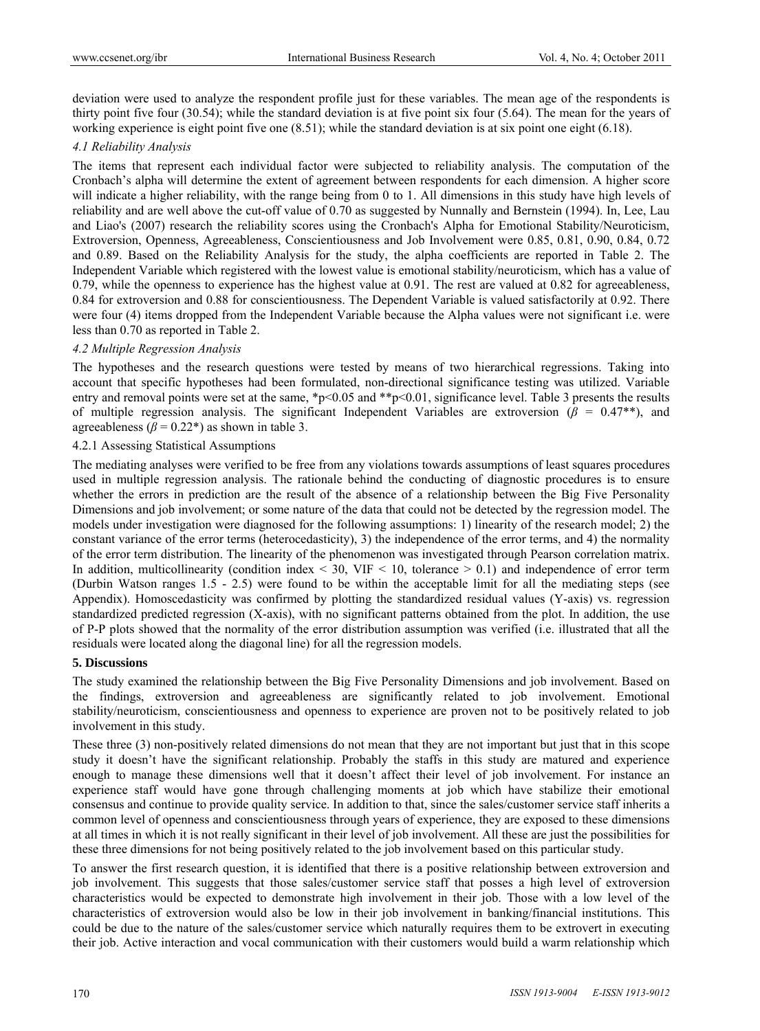deviation were used to analyze the respondent profile just for these variables. The mean age of the respondents is thirty point five four (30.54); while the standard deviation is at five point six four (5.64). The mean for the years of working experience is eight point five one  $(8.51)$ ; while the standard deviation is at six point one eight (6.18).

#### *4.1 Reliability Analysis*

The items that represent each individual factor were subjected to reliability analysis. The computation of the Cronbach's alpha will determine the extent of agreement between respondents for each dimension. A higher score will indicate a higher reliability, with the range being from 0 to 1. All dimensions in this study have high levels of reliability and are well above the cut-off value of 0.70 as suggested by Nunnally and Bernstein (1994). In, Lee, Lau and Liao's (2007) research the reliability scores using the Cronbach's Alpha for Emotional Stability/Neuroticism, Extroversion, Openness, Agreeableness, Conscientiousness and Job Involvement were 0.85, 0.81, 0.90, 0.84, 0.72 and 0.89. Based on the Reliability Analysis for the study, the alpha coefficients are reported in Table 2. The Independent Variable which registered with the lowest value is emotional stability/neuroticism, which has a value of 0.79, while the openness to experience has the highest value at 0.91. The rest are valued at 0.82 for agreeableness, 0.84 for extroversion and 0.88 for conscientiousness. The Dependent Variable is valued satisfactorily at 0.92. There were four (4) items dropped from the Independent Variable because the Alpha values were not significant i.e. were less than 0.70 as reported in Table 2.

#### *4.2 Multiple Regression Analysis*

The hypotheses and the research questions were tested by means of two hierarchical regressions. Taking into account that specific hypotheses had been formulated, non-directional significance testing was utilized. Variable entry and removal points were set at the same, \*p<0.05 and \*\*p<0.01, significance level. Table 3 presents the results of multiple regression analysis. The significant Independent Variables are extroversion (*β* = 0.47\*\*), and agreeableness ( $\beta$  = 0.22<sup>\*</sup>) as shown in table 3.

#### 4.2.1 Assessing Statistical Assumptions

The mediating analyses were verified to be free from any violations towards assumptions of least squares procedures used in multiple regression analysis. The rationale behind the conducting of diagnostic procedures is to ensure whether the errors in prediction are the result of the absence of a relationship between the Big Five Personality Dimensions and job involvement; or some nature of the data that could not be detected by the regression model. The models under investigation were diagnosed for the following assumptions: 1) linearity of the research model; 2) the constant variance of the error terms (heterocedasticity), 3) the independence of the error terms, and 4) the normality of the error term distribution. The linearity of the phenomenon was investigated through Pearson correlation matrix. In addition, multicollinearity (condition index  $\leq$  30, VIF  $\leq$  10, tolerance  $\geq$  0.1) and independence of error term (Durbin Watson ranges 1.5 - 2.5) were found to be within the acceptable limit for all the mediating steps (see Appendix). Homoscedasticity was confirmed by plotting the standardized residual values (Y-axis) vs. regression standardized predicted regression (X-axis), with no significant patterns obtained from the plot. In addition, the use of P-P plots showed that the normality of the error distribution assumption was verified (i.e. illustrated that all the residuals were located along the diagonal line) for all the regression models.

#### **5. Discussions**

The study examined the relationship between the Big Five Personality Dimensions and job involvement. Based on the findings, extroversion and agreeableness are significantly related to job involvement. Emotional stability/neuroticism, conscientiousness and openness to experience are proven not to be positively related to job involvement in this study.

These three (3) non-positively related dimensions do not mean that they are not important but just that in this scope study it doesn't have the significant relationship. Probably the staffs in this study are matured and experience enough to manage these dimensions well that it doesn't affect their level of job involvement. For instance an experience staff would have gone through challenging moments at job which have stabilize their emotional consensus and continue to provide quality service. In addition to that, since the sales/customer service staff inherits a common level of openness and conscientiousness through years of experience, they are exposed to these dimensions at all times in which it is not really significant in their level of job involvement. All these are just the possibilities for these three dimensions for not being positively related to the job involvement based on this particular study.

To answer the first research question, it is identified that there is a positive relationship between extroversion and job involvement. This suggests that those sales/customer service staff that posses a high level of extroversion characteristics would be expected to demonstrate high involvement in their job. Those with a low level of the characteristics of extroversion would also be low in their job involvement in banking/financial institutions. This could be due to the nature of the sales/customer service which naturally requires them to be extrovert in executing their job. Active interaction and vocal communication with their customers would build a warm relationship which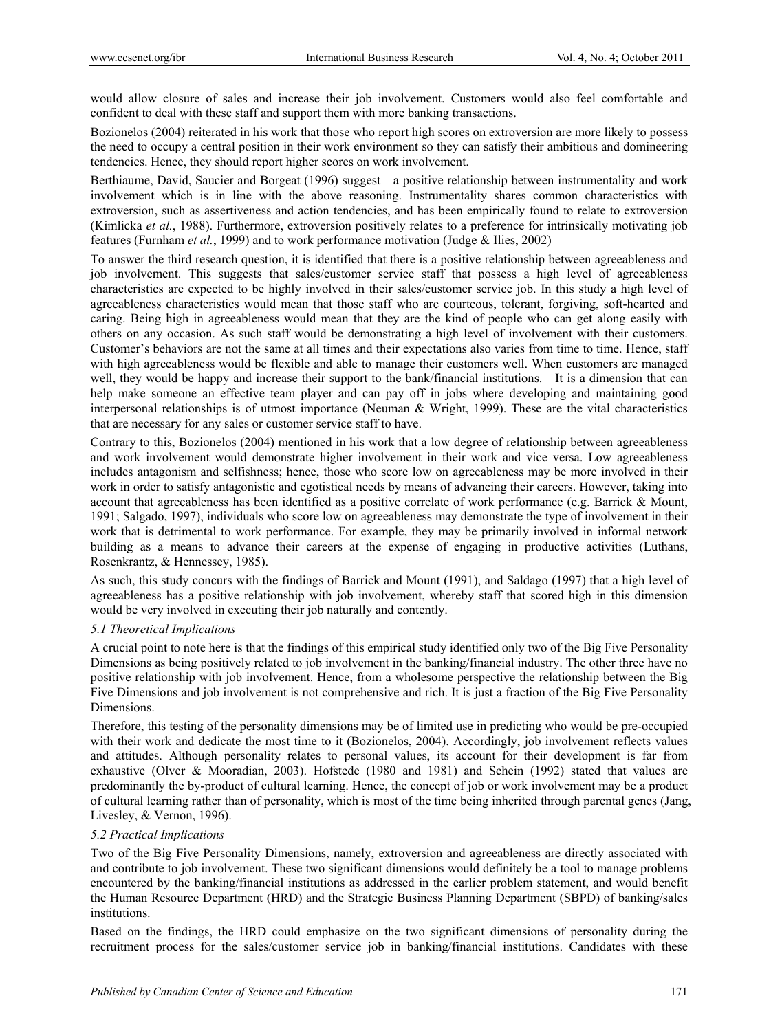would allow closure of sales and increase their job involvement. Customers would also feel comfortable and confident to deal with these staff and support them with more banking transactions.

Bozionelos (2004) reiterated in his work that those who report high scores on extroversion are more likely to possess the need to occupy a central position in their work environment so they can satisfy their ambitious and domineering tendencies. Hence, they should report higher scores on work involvement.

Berthiaume, David, Saucier and Borgeat (1996) suggest a positive relationship between instrumentality and work involvement which is in line with the above reasoning. Instrumentality shares common characteristics with extroversion, such as assertiveness and action tendencies, and has been empirically found to relate to extroversion (Kimlicka *et al.*, 1988). Furthermore, extroversion positively relates to a preference for intrinsically motivating job features (Furnham *et al.*, 1999) and to work performance motivation (Judge & Ilies, 2002)

To answer the third research question, it is identified that there is a positive relationship between agreeableness and job involvement. This suggests that sales/customer service staff that possess a high level of agreeableness characteristics are expected to be highly involved in their sales/customer service job. In this study a high level of agreeableness characteristics would mean that those staff who are courteous, tolerant, forgiving, soft-hearted and caring. Being high in agreeableness would mean that they are the kind of people who can get along easily with others on any occasion. As such staff would be demonstrating a high level of involvement with their customers. Customer's behaviors are not the same at all times and their expectations also varies from time to time. Hence, staff with high agreeableness would be flexible and able to manage their customers well. When customers are managed well, they would be happy and increase their support to the bank/financial institutions. It is a dimension that can help make someone an effective team player and can pay off in jobs where developing and maintaining good interpersonal relationships is of utmost importance (Neuman & Wright, 1999). These are the vital characteristics that are necessary for any sales or customer service staff to have.

Contrary to this, Bozionelos (2004) mentioned in his work that a low degree of relationship between agreeableness and work involvement would demonstrate higher involvement in their work and vice versa. Low agreeableness includes antagonism and selfishness; hence, those who score low on agreeableness may be more involved in their work in order to satisfy antagonistic and egotistical needs by means of advancing their careers. However, taking into account that agreeableness has been identified as a positive correlate of work performance (e.g. Barrick & Mount, 1991; Salgado, 1997), individuals who score low on agreeableness may demonstrate the type of involvement in their work that is detrimental to work performance. For example, they may be primarily involved in informal network building as a means to advance their careers at the expense of engaging in productive activities (Luthans, Rosenkrantz, & Hennessey, 1985).

As such, this study concurs with the findings of Barrick and Mount (1991), and Saldago (1997) that a high level of agreeableness has a positive relationship with job involvement, whereby staff that scored high in this dimension would be very involved in executing their job naturally and contently.

#### *5.1 Theoretical Implications*

A crucial point to note here is that the findings of this empirical study identified only two of the Big Five Personality Dimensions as being positively related to job involvement in the banking/financial industry. The other three have no positive relationship with job involvement. Hence, from a wholesome perspective the relationship between the Big Five Dimensions and job involvement is not comprehensive and rich. It is just a fraction of the Big Five Personality Dimensions.

Therefore, this testing of the personality dimensions may be of limited use in predicting who would be pre-occupied with their work and dedicate the most time to it (Bozionelos, 2004). Accordingly, job involvement reflects values and attitudes. Although personality relates to personal values, its account for their development is far from exhaustive (Olver & Mooradian, 2003). Hofstede (1980 and 1981) and Schein (1992) stated that values are predominantly the by-product of cultural learning. Hence, the concept of job or work involvement may be a product of cultural learning rather than of personality, which is most of the time being inherited through parental genes (Jang, Livesley, & Vernon, 1996).

#### *5.2 Practical Implications*

Two of the Big Five Personality Dimensions, namely, extroversion and agreeableness are directly associated with and contribute to job involvement. These two significant dimensions would definitely be a tool to manage problems encountered by the banking/financial institutions as addressed in the earlier problem statement, and would benefit the Human Resource Department (HRD) and the Strategic Business Planning Department (SBPD) of banking/sales institutions.

Based on the findings, the HRD could emphasize on the two significant dimensions of personality during the recruitment process for the sales/customer service job in banking/financial institutions. Candidates with these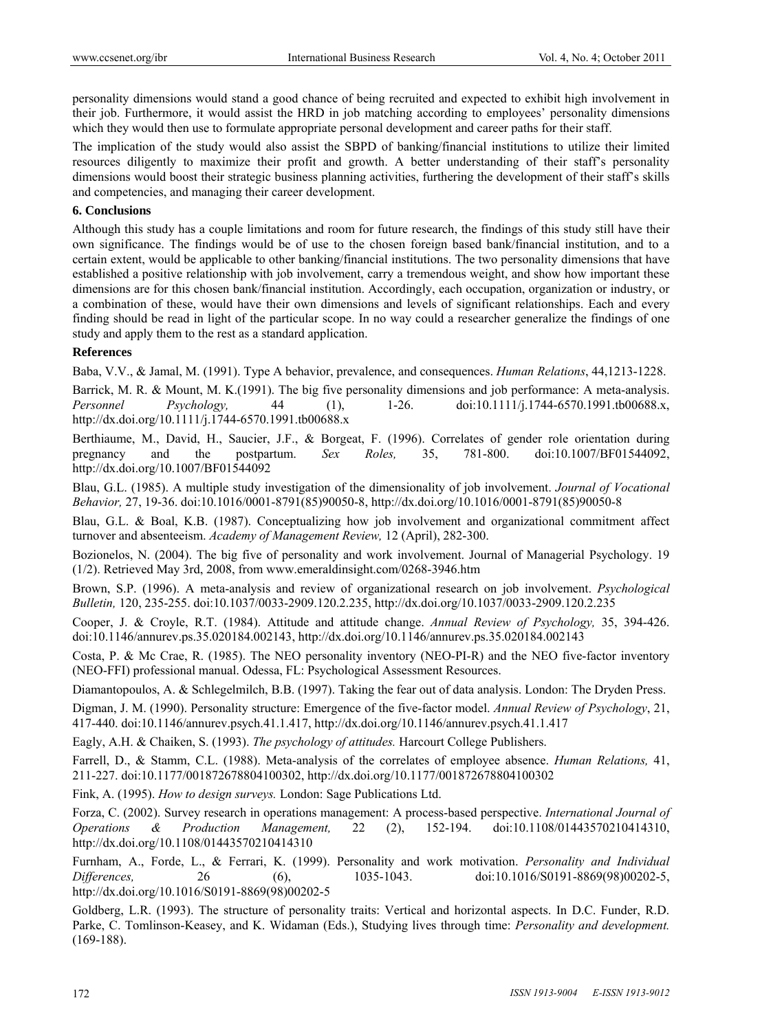personality dimensions would stand a good chance of being recruited and expected to exhibit high involvement in their job. Furthermore, it would assist the HRD in job matching according to employees' personality dimensions which they would then use to formulate appropriate personal development and career paths for their staff.

The implication of the study would also assist the SBPD of banking/financial institutions to utilize their limited resources diligently to maximize their profit and growth. A better understanding of their staff's personality dimensions would boost their strategic business planning activities, furthering the development of their staff's skills and competencies, and managing their career development.

#### **6. Conclusions**

Although this study has a couple limitations and room for future research, the findings of this study still have their own significance. The findings would be of use to the chosen foreign based bank/financial institution, and to a certain extent, would be applicable to other banking/financial institutions. The two personality dimensions that have established a positive relationship with job involvement, carry a tremendous weight, and show how important these dimensions are for this chosen bank/financial institution. Accordingly, each occupation, organization or industry, or a combination of these, would have their own dimensions and levels of significant relationships. Each and every finding should be read in light of the particular scope. In no way could a researcher generalize the findings of one study and apply them to the rest as a standard application.

#### **References**

Baba, V.V., & Jamal, M. (1991). Type A behavior, prevalence, and consequences. *Human Relations*, 44,1213-1228.

Barrick, M. R. & Mount, M. K.(1991). The big five personality dimensions and job performance: A meta-analysis. *Personnel Psychology,* 44 (1), 1-26. doi:10.1111/j.1744-6570.1991.tb00688.x, http://dx.doi.org/10.1111/j.1744-6570.1991.tb00688.x

Berthiaume, M., David, H., Saucier, J.F., & Borgeat, F. (1996). Correlates of gender role orientation during pregnancy and the postpartum. *Sex Roles,* 35, 781-800. doi:10.1007/BF01544092, http://dx.doi.org/10.1007/BF01544092

Blau, G.L. (1985). A multiple study investigation of the dimensionality of job involvement. *Journal of Vocational Behavior,* 27, 19-36. doi:10.1016/0001-8791(85)90050-8, http://dx.doi.org/10.1016/0001-8791(85)90050-8

Blau, G.L. & Boal, K.B. (1987). Conceptualizing how job involvement and organizational commitment affect turnover and absenteeism. *Academy of Management Review,* 12 (April), 282-300.

Bozionelos, N. (2004). The big five of personality and work involvement. Journal of Managerial Psychology. 19 (1/2). Retrieved May 3rd, 2008, from www.emeraldinsight.com/0268-3946.htm

Brown, S.P. (1996). A meta-analysis and review of organizational research on job involvement. *Psychological Bulletin,* 120, 235-255. doi:10.1037/0033-2909.120.2.235, http://dx.doi.org/10.1037/0033-2909.120.2.235

Cooper, J. & Croyle, R.T. (1984). Attitude and attitude change. *Annual Review of Psychology,* 35, 394-426. doi:10.1146/annurev.ps.35.020184.002143, http://dx.doi.org/10.1146/annurev.ps.35.020184.002143

Costa, P. & Mc Crae, R. (1985). The NEO personality inventory (NEO-PI-R) and the NEO five-factor inventory (NEO-FFI) professional manual. Odessa, FL: Psychological Assessment Resources.

Diamantopoulos, A. & Schlegelmilch, B.B. (1997). Taking the fear out of data analysis. London: The Dryden Press.

Digman, J. M. (1990). Personality structure: Emergence of the five-factor model. *Annual Review of Psychology*, 21, 417-440. doi:10.1146/annurev.psych.41.1.417, http://dx.doi.org/10.1146/annurev.psych.41.1.417

Eagly, A.H. & Chaiken, S. (1993). *The psychology of attitudes.* Harcourt College Publishers.

Farrell, D., & Stamm, C.L. (1988). Meta-analysis of the correlates of employee absence. *Human Relations,* 41, 211-227. doi:10.1177/001872678804100302, http://dx.doi.org/10.1177/001872678804100302

Fink, A. (1995). *How to design surveys.* London: Sage Publications Ltd.

Forza, C. (2002). Survey research in operations management: A process-based perspective. *International Journal of Operations & Production Management,* 22 (2), 152-194. doi:10.1108/01443570210414310, http://dx.doi.org/10.1108/01443570210414310

Furnham, A., Forde, L., & Ferrari, K. (1999). Personality and work motivation. *Personality and Individual Differences,* 26 (6), 1035-1043. doi:10.1016/S0191-8869(98)00202-5, http://dx.doi.org/10.1016/S0191-8869(98)00202-5

Goldberg, L.R. (1993). The structure of personality traits: Vertical and horizontal aspects. In D.C. Funder, R.D. Parke, C. Tomlinson-Keasey, and K. Widaman (Eds.), Studying lives through time: *Personality and development.*  (169-188).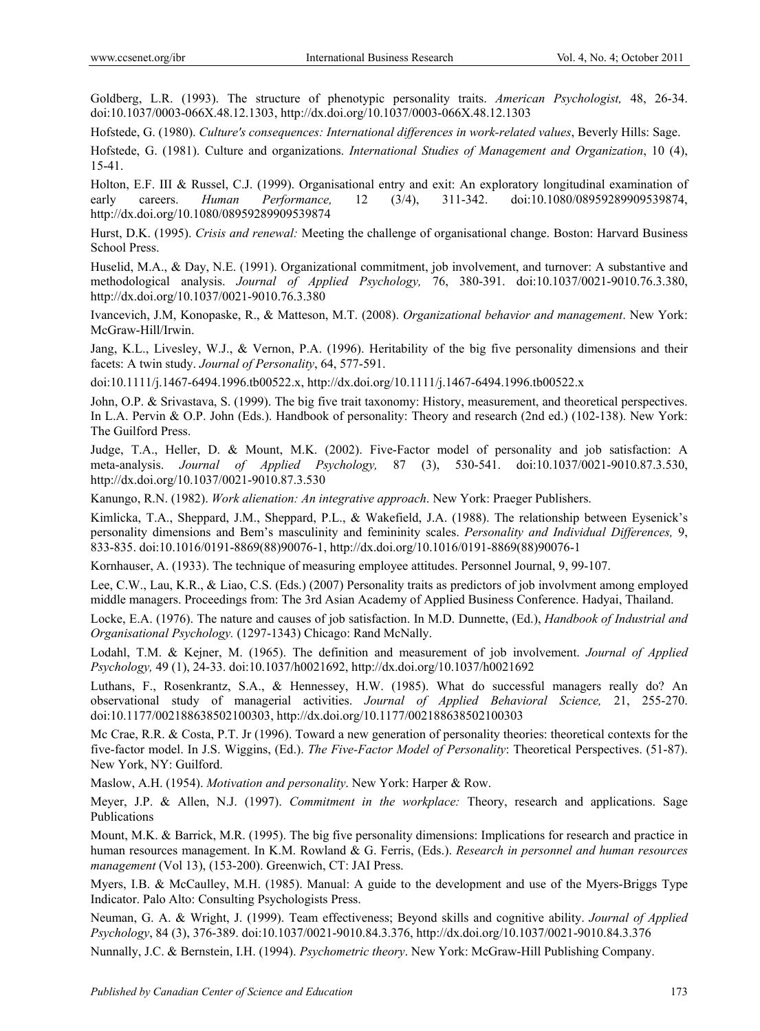Goldberg, L.R. (1993). The structure of phenotypic personality traits. *American Psychologist,* 48, 26-34. doi:10.1037/0003-066X.48.12.1303, http://dx.doi.org/10.1037/0003-066X.48.12.1303

Hofstede, G. (1980). *Culture's consequences: International differences in work-related values*, Beverly Hills: Sage.

Hofstede, G. (1981). Culture and organizations. *International Studies of Management and Organization*, 10 (4), 15-41.

Holton, E.F. III & Russel, C.J. (1999). Organisational entry and exit: An exploratory longitudinal examination of early careers. *Human Performance,* 12 (3/4), 311-342. doi:10.1080/08959289909539874, http://dx.doi.org/10.1080/08959289909539874

Hurst, D.K. (1995). *Crisis and renewal:* Meeting the challenge of organisational change. Boston: Harvard Business School Press.

Huselid, M.A., & Day, N.E. (1991). Organizational commitment, job involvement, and turnover: A substantive and methodological analysis. *Journal of Applied Psychology,* 76, 380-391. doi:10.1037/0021-9010.76.3.380, http://dx.doi.org/10.1037/0021-9010.76.3.380

Ivancevich, J.M, Konopaske, R., & Matteson, M.T. (2008). *Organizational behavior and management*. New York: McGraw-Hill/Irwin.

Jang, K.L., Livesley, W.J., & Vernon, P.A. (1996). Heritability of the big five personality dimensions and their facets: A twin study. *Journal of Personality*, 64, 577-591.

doi:10.1111/j.1467-6494.1996.tb00522.x, http://dx.doi.org/10.1111/j.1467-6494.1996.tb00522.x

John, O.P. & Srivastava, S. (1999). The big five trait taxonomy: History, measurement, and theoretical perspectives. In L.A. Pervin & O.P. John (Eds.). Handbook of personality: Theory and research (2nd ed.) (102-138). New York: The Guilford Press.

Judge, T.A., Heller, D. & Mount, M.K. (2002). Five-Factor model of personality and job satisfaction: A meta-analysis. *Journal of Applied Psychology,* 87 (3), 530-541. doi:10.1037/0021-9010.87.3.530, http://dx.doi.org/10.1037/0021-9010.87.3.530

Kanungo, R.N. (1982). *Work alienation: An integrative approach*. New York: Praeger Publishers.

Kimlicka, T.A., Sheppard, J.M., Sheppard, P.L., & Wakefield, J.A. (1988). The relationship between Eysenick's personality dimensions and Bem's masculinity and femininity scales. *Personality and Individual Differences,* 9, 833-835. doi:10.1016/0191-8869(88)90076-1, http://dx.doi.org/10.1016/0191-8869(88)90076-1

Kornhauser, A. (1933). The technique of measuring employee attitudes. Personnel Journal, 9, 99-107.

Lee, C.W., Lau, K.R., & Liao, C.S. (Eds.) (2007) Personality traits as predictors of job involvment among employed middle managers. Proceedings from: The 3rd Asian Academy of Applied Business Conference. Hadyai, Thailand.

Locke, E.A. (1976). The nature and causes of job satisfaction. In M.D. Dunnette, (Ed.), *Handbook of Industrial and Organisational Psychology.* (1297-1343) Chicago: Rand McNally.

Lodahl, T.M. & Kejner, M. (1965). The definition and measurement of job involvement. *Journal of Applied Psychology,* 49 (1), 24-33. doi:10.1037/h0021692, http://dx.doi.org/10.1037/h0021692

Luthans, F., Rosenkrantz, S.A., & Hennessey, H.W. (1985). What do successful managers really do? An observational study of managerial activities. *Journal of Applied Behavioral Science,* 21, 255-270. doi:10.1177/002188638502100303, http://dx.doi.org/10.1177/002188638502100303

Mc Crae, R.R. & Costa, P.T. Jr (1996). Toward a new generation of personality theories: theoretical contexts for the five-factor model. In J.S. Wiggins, (Ed.). *The Five-Factor Model of Personality*: Theoretical Perspectives. (51-87). New York, NY: Guilford.

Maslow, A.H. (1954). *Motivation and personality*. New York: Harper & Row.

Meyer, J.P. & Allen, N.J. (1997). *Commitment in the workplace:* Theory, research and applications. Sage Publications

Mount, M.K. & Barrick, M.R. (1995). The big five personality dimensions: Implications for research and practice in human resources management. In K.M. Rowland & G. Ferris, (Eds.). *Research in personnel and human resources management* (Vol 13), (153-200). Greenwich, CT: JAI Press.

Myers, I.B. & McCaulley, M.H. (1985). Manual: A guide to the development and use of the Myers-Briggs Type Indicator. Palo Alto: Consulting Psychologists Press.

Neuman, G. A. & Wright, J. (1999). Team effectiveness; Beyond skills and cognitive ability. *Journal of Applied Psychology*, 84 (3), 376-389. doi:10.1037/0021-9010.84.3.376, http://dx.doi.org/10.1037/0021-9010.84.3.376

Nunnally, J.C. & Bernstein, I.H. (1994). *Psychometric theory*. New York: McGraw-Hill Publishing Company.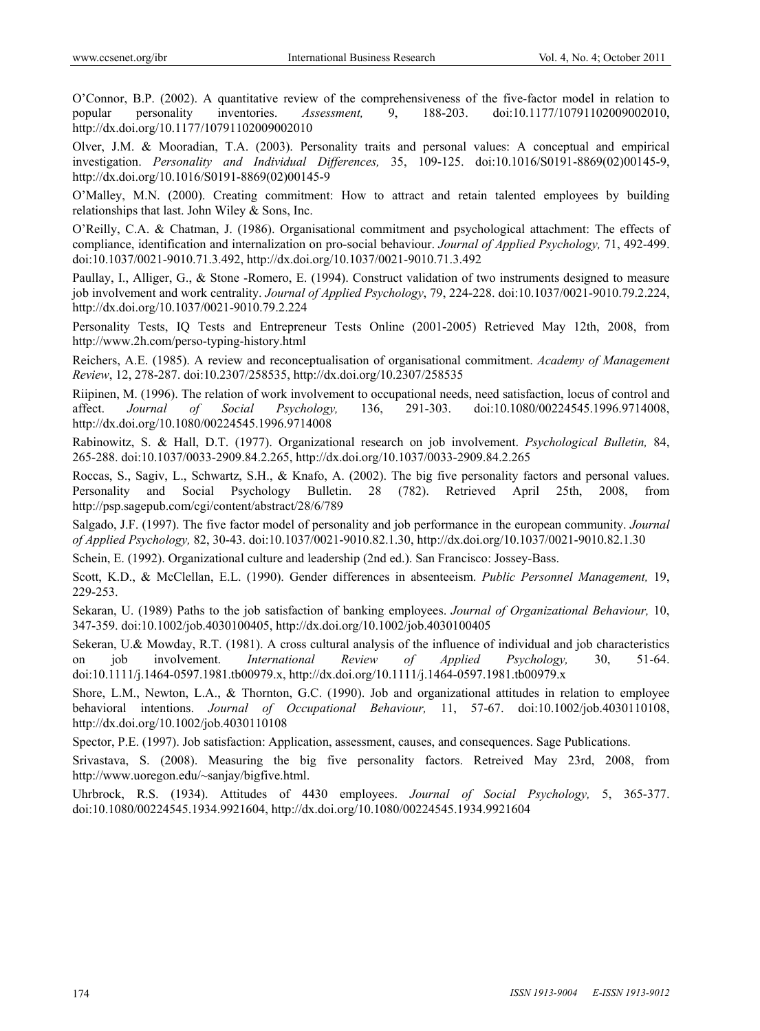O'Connor, B.P. (2002). A quantitative review of the comprehensiveness of the five-factor model in relation to popular personality inventories. *Assessment,* 9, 188-203. doi:10.1177/10791102009002010, http://dx.doi.org/10.1177/10791102009002010

Olver, J.M. & Mooradian, T.A. (2003). Personality traits and personal values: A conceptual and empirical investigation. *Personality and Individual Differences,* 35, 109-125. doi:10.1016/S0191-8869(02)00145-9, http://dx.doi.org/10.1016/S0191-8869(02)00145-9

O'Malley, M.N. (2000). Creating commitment: How to attract and retain talented employees by building relationships that last. John Wiley & Sons, Inc.

O'Reilly, C.A. & Chatman, J. (1986). Organisational commitment and psychological attachment: The effects of compliance, identification and internalization on pro-social behaviour. *Journal of Applied Psychology,* 71, 492-499. doi:10.1037/0021-9010.71.3.492, http://dx.doi.org/10.1037/0021-9010.71.3.492

Paullay, I., Alliger, G., & Stone -Romero, E. (1994). Construct validation of two instruments designed to measure job involvement and work centrality. *Journal of Applied Psychology*, 79, 224-228. doi:10.1037/0021-9010.79.2.224, http://dx.doi.org/10.1037/0021-9010.79.2.224

Personality Tests, IQ Tests and Entrepreneur Tests Online (2001-2005) Retrieved May 12th, 2008, from http://www.2h.com/perso-typing-history.html

Reichers, A.E. (1985). A review and reconceptualisation of organisational commitment. *Academy of Management Review*, 12, 278-287. doi:10.2307/258535, http://dx.doi.org/10.2307/258535

Riipinen, M. (1996). The relation of work involvement to occupational needs, need satisfaction, locus of control and affect. *Journal of Social Psychology,* 136, 291-303. doi:10.1080/00224545.1996.9714008, http://dx.doi.org/10.1080/00224545.1996.9714008

Rabinowitz, S. & Hall, D.T. (1977). Organizational research on job involvement. *Psychological Bulletin,* 84, 265-288. doi:10.1037/0033-2909.84.2.265, http://dx.doi.org/10.1037/0033-2909.84.2.265

Roccas, S., Sagiv, L., Schwartz, S.H., & Knafo, A. (2002). The big five personality factors and personal values. Personality and Social Psychology Bulletin. 28 (782). Retrieved April 25th, 2008, from http://psp.sagepub.com/cgi/content/abstract/28/6/789

Salgado, J.F. (1997). The five factor model of personality and job performance in the european community. *Journal of Applied Psychology,* 82, 30-43. doi:10.1037/0021-9010.82.1.30, http://dx.doi.org/10.1037/0021-9010.82.1.30

Schein, E. (1992). Organizational culture and leadership (2nd ed.). San Francisco: Jossey-Bass.

Scott, K.D., & McClellan, E.L. (1990). Gender differences in absenteeism. *Public Personnel Management,* 19, 229-253.

Sekaran, U. (1989) Paths to the job satisfaction of banking employees. *Journal of Organizational Behaviour,* 10, 347-359. doi:10.1002/job.4030100405, http://dx.doi.org/10.1002/job.4030100405

Sekeran, U.& Mowday, R.T. (1981). A cross cultural analysis of the influence of individual and job characteristics on job involvement. *International Review of Applied Psychology,* 30, 51-64. doi:10.1111/j.1464-0597.1981.tb00979.x, http://dx.doi.org/10.1111/j.1464-0597.1981.tb00979.x

Shore, L.M., Newton, L.A., & Thornton, G.C. (1990). Job and organizational attitudes in relation to employee behavioral intentions. *Journal of Occupational Behaviour,* 11, 57-67. doi:10.1002/job.4030110108, http://dx.doi.org/10.1002/job.4030110108

Spector, P.E. (1997). Job satisfaction: Application, assessment, causes, and consequences. Sage Publications.

Srivastava, S. (2008). Measuring the big five personality factors. Retreived May 23rd, 2008, from http://www.uoregon.edu/~sanjay/bigfive.html.

Uhrbrock, R.S. (1934). Attitudes of 4430 employees. *Journal of Social Psychology,* 5, 365-377. doi:10.1080/00224545.1934.9921604, http://dx.doi.org/10.1080/00224545.1934.9921604